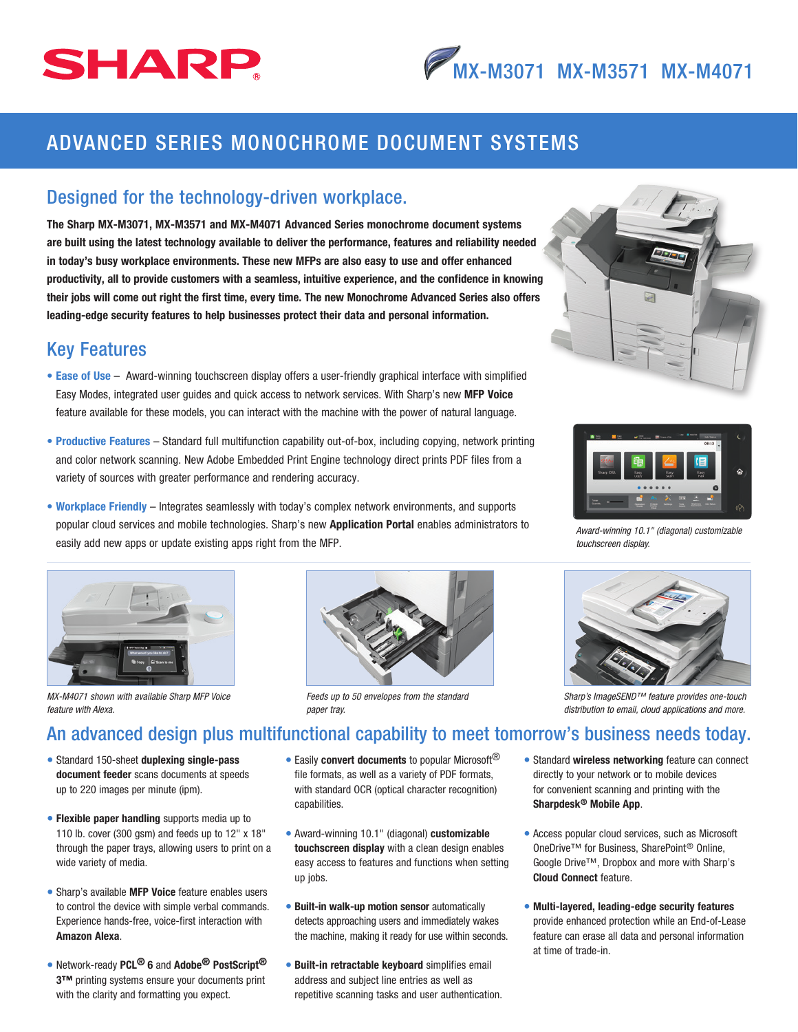# SHARP

## ADVANCED SERIES MONOCHROME DOCUMENT SYSTEMS

#### Designed for the technology-driven workplace.

The Sharp MX-M3071, MX-M3571 and MX-M4071 Advanced Series monochrome document systems are built using the latest technology available to deliver the performance, features and reliability needed in today's busy workplace environments. These new MFPs are also easy to use and offer enhanced productivity, all to provide customers with a seamless, intuitive experience, and the confidence in knowing their jobs will come out right the first time, every time. The new Monochrome Advanced Series also offers leading-edge security features to help businesses protect their data and personal information.

#### Key Features

- Ease of Use Award-winning touchscreen display offers a user-friendly graphical interface with simplified Easy Modes, integrated user guides and quick access to network services. With Sharp's new MFP Voice feature available for these models, you can interact with the machine with the power of natural language.
- Productive Features Standard full multifunction capability out-of-box, including copying, network printing and color network scanning. New Adobe Embedded Print Engine technology direct prints PDF files from a variety of sources with greater performance and rendering accuracy.
- Workplace Friendly Integrates seamlessly with today's complex network environments, and supports popular cloud services and mobile technologies. Sharp's new Application Portal enables administrators to easily add new apps or update existing apps right from the MFP.



*MX-M4071 shown with available Sharp MFP Voice feature with Alexa.*



*Feeds up to 50 envelopes from the standard paper tray.*





*Award-winning 10.1" (diagonal) customizable touchscreen display.*



*Sharp's ImageSEND™ feature provides one-touch distribution to email, cloud applications and more.*

### An advanced design plus multifunctional capability to meet tomorrow's business needs today.

- Standard 150-sheet duplexing single-pass document feeder scans documents at speeds up to 220 images per minute (ipm).
- Flexible paper handling supports media up to 110 lb. cover (300 gsm) and feeds up to 12" x 18" through the paper trays, allowing users to print on a wide variety of media.
- Sharp's available MFP Voice feature enables users to control the device with simple verbal commands. Experience hands-free, voice-first interaction with Amazon Alexa.
- Network-ready PCL<sup>®</sup> 6 and Adobe<sup>®</sup> PostScript<sup>®</sup> 3™ printing systems ensure your documents print with the clarity and formatting you expect.

• Easily convert documents to popular Microsoft<sup>®</sup> file formats, as well as a variety of PDF formats, with standard OCR (optical character recognition) capabilities.

- Award-winning 10.1" (diagonal) customizable touchscreen display with a clean design enables easy access to features and functions when setting up jobs.
- Built-in walk-up motion sensor automatically detects approaching users and immediately wakes the machine, making it ready for use within seconds.
- Built-in retractable keyboard simplifies email address and subject line entries as well as repetitive scanning tasks and user authentication.
- Standard wireless networking feature can connect directly to your network or to mobile devices for convenient scanning and printing with the Sharpdesk® Mobile App.
- Access popular cloud services, such as Microsoft OneDrive™ for Business, SharePoint® Online, Google Drive™, Dropbox and more with Sharp's Cloud Connect feature.
- Multi-layered, leading-edge security features provide enhanced protection while an End-of-Lease feature can erase all data and personal information at time of trade-in.